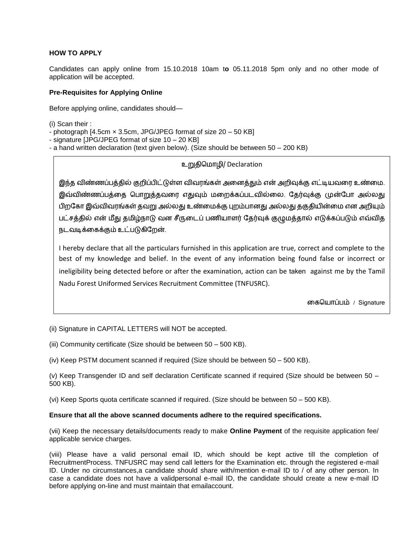## **HOW TO APPLY**

Candidates can apply online from 15.10.2018 10am t**o** 05.11.2018 5pm only and no other mode of application will be accepted.

### **Pre-Requisites for Applying Online**

Before applying online, candidates should—

(i) Scan their :

- photograph [4.5cm × 3.5cm, JPG/JPEG format of size 20 50 KB]
- signature [JPG/JPEG format of size 10 20 KB]
- a hand written declaration (text given below). (Size should be between 50 200 KB)

# உறுதிமொழி/ Declaration

இந்த விண்ணப்பத்தில் குறிப்பிட்டுள்ள விவரங்கள் அனைத்தும் என் அறிவுக்கு எட்டியவரை உண்மை. இவ்விண்ணப்பத்னத மபொறுத்தவனர எதுவும் னறக்கப்படவில்னை. ததர்வுக்கு முன்தபொ அல்ைது பிறகோ இவ்விவரங்கள் தவறு அல்லது உண்மைக்கு புறம்பானது அல்லது தகுதியின்மை என அறியும் பட்சத்தில் என் மீது தமிழ்நாடு வன சீருடைப் பணியாளர் தேர்வுக் குழுமத்தால் எடுக்கப்படும் எவ்வித நடவடிக்னகக்கும் உட்படுகிதறன்.

I hereby declare that all the particulars furnished in this application are true, correct and complete to the best of my knowledge and belief. In the event of any information being found false or incorrect or ineligibility being detected before or after the examination, action can be taken against me by the Tamil Nadu Forest Uniformed Services Recruitment Committee (TNFUSRC).

னகமயொப்பம் / Signature

(ii) Signature in CAPITAL LETTERS will NOT be accepted.

(iii) Community certificate (Size should be between 50 – 500 KB).

(iv) Keep PSTM document scanned if required (Size should be between 50 – 500 KB).

(v) Keep Transgender ID and self declaration Certificate scanned if required (Size should be between 50 – 500 KB).

(vi) Keep Sports quota certificate scanned if required. (Size should be between 50 – 500 KB).

### **Ensure that all the above scanned documents adhere to the required specifications.**

(vii) Keep the necessary details/documents ready to make **Online Payment** of the requisite application fee/ applicable service charges.

(viii) Please have a valid personal email ID, which should be kept active till the completion of RecruitmentProcess. TNFUSRC may send call letters for the Examination etc. through the registered e-mail ID. Under no circumstances,a candidate should share with/mention e-mail ID to / of any other person. In case a candidate does not have a validpersonal e-mail ID, the candidate should create a new e-mail ID before applying on-line and must maintain that emailaccount.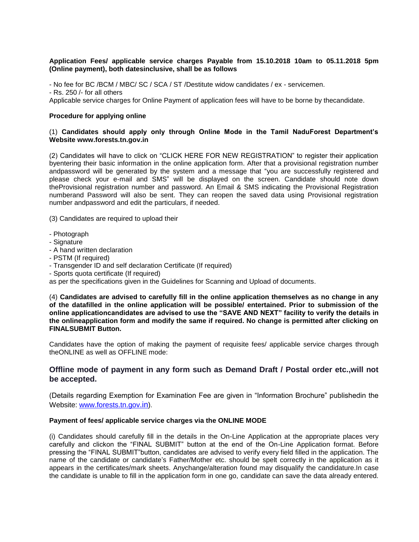### **Application Fees/ applicable service charges Payable from 15.10.2018 10am to 05.11.2018 5pm (Online payment), both datesinclusive, shall be as follows**

- No fee for BC /BCM / MBC/ SC / SCA / ST /Destitute widow candidates / ex - servicemen. - Rs. 250 /- for all others Applicable service charges for Online Payment of application fees will have to be borne by thecandidate.

#### **Procedure for applying online**

### (1) **Candidates should apply only through Online Mode in the Tamil NaduForest Department's Website www.forests.tn.gov.in**

(2) Candidates will have to click on "CLICK HERE FOR NEW REGISTRATION" to register their application byentering their basic information in the online application form. After that a provisional registration number andpassword will be generated by the system and a message that "you are successfully registered and please check your e-mail and SMS" will be displayed on the screen. Candidate should note down theProvisional registration number and password. An Email & SMS indicating the Provisional Registration numberand Password will also be sent. They can reopen the saved data using Provisional registration number andpassword and edit the particulars, if needed.

(3) Candidates are required to upload their

- Photograph
- Signature
- A hand written declaration
- PSTM (If required)
- Transgender ID and self declaration Certificate (If required)
- Sports quota certificate (If required)

as per the specifications given in the Guidelines for Scanning and Upload of documents.

(4) **Candidates are advised to carefully fill in the online application themselves as no change in any of the datafilled in the online application will be possible/ entertained. Prior to submission of the online applicationcandidates are advised to use the "SAVE AND NEXT" facility to verify the details in the onlineapplication form and modify the same if required. No change is permitted after clicking on FINALSUBMIT Button.** 

Candidates have the option of making the payment of requisite fees/ applicable service charges through theONLINE as well as OFFLINE mode:

### **Offline mode of payment in any form such as Demand Draft / Postal order etc.,will not be accepted.**

(Details regarding Exemption for Examination Fee are given in "Information Brochure" publishedin the Website: [www.forests.tn.gov](http://www.forests.tn.gov.in/).in).

#### **Payment of fees/ applicable service charges via the ONLINE MODE**

(i) Candidates should carefully fill in the details in the On-Line Application at the appropriate places very carefully and clickon the "FINAL SUBMIT" button at the end of the On-Line Application format. Before pressing the "FINAL SUBMIT"button, candidates are advised to verify every field filled in the application. The name of the candidate or candidate's Father/Mother etc. should be spelt correctly in the application as it appears in the certificates/mark sheets. Anychange/alteration found may disqualify the candidature.In case the candidate is unable to fill in the application form in one go, candidate can save the data already entered.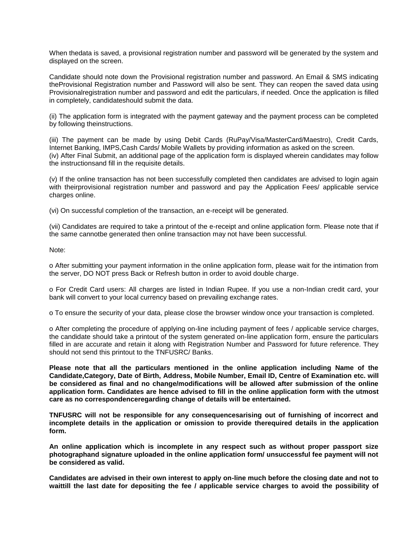When thedata is saved, a provisional registration number and password will be generated by the system and displayed on the screen.

Candidate should note down the Provisional registration number and password. An Email & SMS indicating theProvisional Registration number and Password will also be sent. They can reopen the saved data using Provisionalregistration number and password and edit the particulars, if needed. Once the application is filled in completely, candidateshould submit the data.

(ii) The application form is integrated with the payment gateway and the payment process can be completed by following theinstructions.

(iii) The payment can be made by using Debit Cards (RuPay/Visa/MasterCard/Maestro), Credit Cards, Internet Banking, IMPS,Cash Cards/ Mobile Wallets by providing information as asked on the screen. (iv) After Final Submit, an additional page of the application form is displayed wherein candidates may follow the instructionsand fill in the requisite details.

(v) If the online transaction has not been successfully completed then candidates are advised to login again with theirprovisional registration number and password and pay the Application Fees/ applicable service charges online.

(vi) On successful completion of the transaction, an e-receipt will be generated.

(vii) Candidates are required to take a printout of the e-receipt and online application form. Please note that if the same cannotbe generated then online transaction may not have been successful.

Note:

o After submitting your payment information in the online application form, please wait for the intimation from the server, DO NOT press Back or Refresh button in order to avoid double charge.

o For Credit Card users: All charges are listed in Indian Rupee. If you use a non-Indian credit card, your bank will convert to your local currency based on prevailing exchange rates.

o To ensure the security of your data, please close the browser window once your transaction is completed.

o After completing the procedure of applying on-line including payment of fees / applicable service charges, the candidate should take a printout of the system generated on-line application form, ensure the particulars filled in are accurate and retain it along with Registration Number and Password for future reference. They should not send this printout to the TNFUSRC/ Banks.

**Please note that all the particulars mentioned in the online application including Name of the Candidate,Category, Date of Birth, Address, Mobile Number, Email ID, Centre of Examination etc. will be considered as final and no change/modifications will be allowed after submission of the online application form. Candidates are hence advised to fill in the online application form with the utmost care as no correspondenceregarding change of details will be entertained.** 

**TNFUSRC will not be responsible for any consequencesarising out of furnishing of incorrect and incomplete details in the application or omission to provide therequired details in the application form.**

**An online application which is incomplete in any respect such as without proper passport size photographand signature uploaded in the online application form/ unsuccessful fee payment will not be considered as valid.**

**Candidates are advised in their own interest to apply on-line much before the closing date and not to waittill the last date for depositing the fee / applicable service charges to avoid the possibility of**